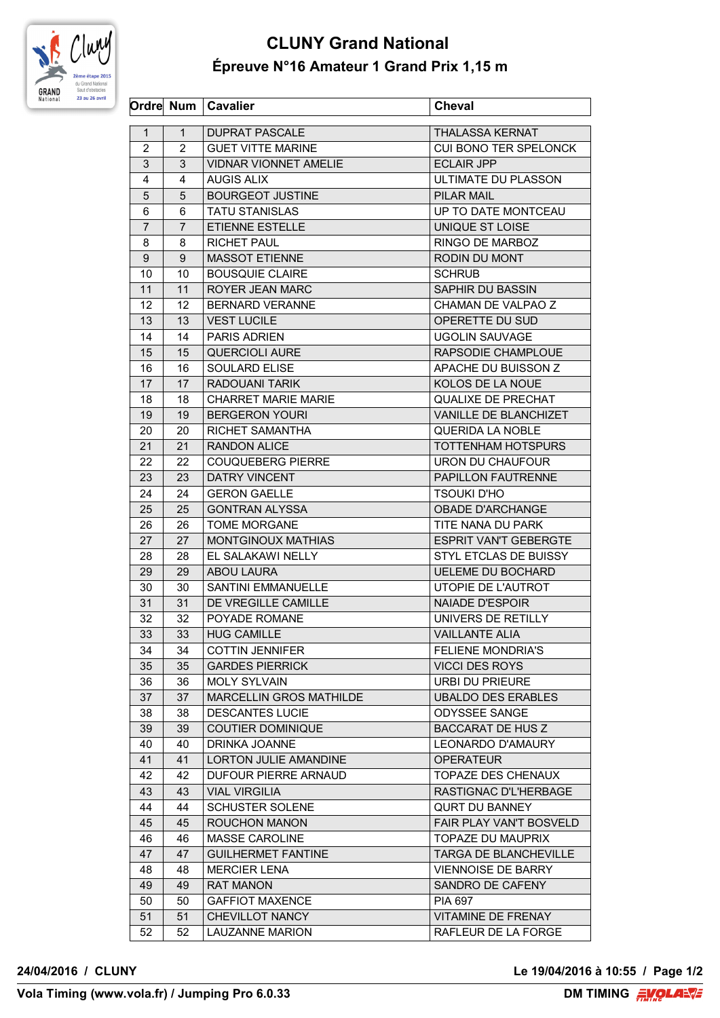

## **CLUNY Grand National Épreuve N°16 Amateur 1 Grand Prix 1,15 m**

|                 |                | Ordre Num   Cavalier           | <b>Cheval</b>                |
|-----------------|----------------|--------------------------------|------------------------------|
| $\mathbf{1}$    | $\mathbf{1}$   | <b>DUPRAT PASCALE</b>          | <b>THALASSA KERNAT</b>       |
| $\overline{2}$  | $\overline{2}$ | <b>GUET VITTE MARINE</b>       | CUI BONO TER SPELONCK        |
| 3               | 3              | <b>VIDNAR VIONNET AMELIE</b>   | <b>ECLAIR JPP</b>            |
| 4               | 4              | <b>AUGIS ALIX</b>              | ULTIMATE DU PLASSON          |
| 5               | 5              | <b>BOURGEOT JUSTINE</b>        | PILAR MAIL                   |
| 6               | 6              | <b>TATU STANISLAS</b>          | UP TO DATE MONTCEAU          |
| $\overline{7}$  | $\overline{7}$ | ETIENNE ESTELLE                | UNIQUE ST LOISE              |
| 8               | 8              | <b>RICHET PAUL</b>             | RINGO DE MARBOZ              |
| 9               | 9              | <b>MASSOT ETIENNE</b>          | RODIN DU MONT                |
| 10              | 10             | <b>BOUSQUIE CLAIRE</b>         | <b>SCHRUB</b>                |
| 11              | 11             | ROYER JEAN MARC                | SAPHIR DU BASSIN             |
| 12 <sup>2</sup> | 12             | <b>BERNARD VERANNE</b>         | CHAMAN DE VALPAO Z           |
| 13              | 13             | <b>VEST LUCILE</b>             | OPERETTE DU SUD              |
| 14              | 14             | <b>PARIS ADRIEN</b>            | <b>UGOLIN SAUVAGE</b>        |
| 15              | 15             | <b>QUERCIOLI AURE</b>          | RAPSODIE CHAMPLOUE           |
| 16              | 16             | SOULARD ELISE                  | APACHE DU BUISSON Z          |
| 17              | 17             | RADOUANI TARIK                 | KOLOS DE LA NOUE             |
| 18              | 18             | <b>CHARRET MARIE MARIE</b>     | <b>QUALIXE DE PRECHAT</b>    |
| 19              | 19             | <b>BERGERON YOURI</b>          | VANILLE DE BLANCHIZET        |
| 20              | 20             | RICHET SAMANTHA                | <b>QUERIDA LA NOBLE</b>      |
| 21              | 21             | <b>RANDON ALICE</b>            | TOTTENHAM HOTSPURS           |
| 22              | 22             | <b>COUQUEBERG PIERRE</b>       | URON DU CHAUFOUR             |
| 23              | 23             | DATRY VINCENT                  | PAPILLON FAUTRENNE           |
| 24              | 24             | <b>GERON GAELLE</b>            | TSOUKI D'HO                  |
| 25              | 25             | <b>GONTRAN ALYSSA</b>          | <b>OBADE D'ARCHANGE</b>      |
|                 |                |                                |                              |
| 26              | 26             | TOME MORGANE                   | TITE NANA DU PARK            |
| 27              | 27             | MONTGINOUX MATHIAS             | <b>ESPRIT VAN'T GEBERGTE</b> |
| 28              | 28             | EL SALAKAWI NELLY              | STYL ETCLAS DE BUISSY        |
| 29              | 29             | ABOU LAURA                     | <b>UELEME DU BOCHARD</b>     |
| 30              | 30             | <b>SANTINI EMMANUELLE</b>      | UTOPIE DE L'AUTROT           |
| 31              | 31             | DE VREGILLE CAMILLE            | <b>NAIADE D'ESPOIR</b>       |
| 32              | 32             | POYADE ROMANE                  | UNIVERS DE RETILLY           |
| 33              | 33             | I HUG CAMILLE                  | <b>VAILLANTE ALIA</b>        |
| 34              | 34             | <b>COTTIN JENNIFER</b>         | <b>FELIENE MONDRIA'S</b>     |
| 35              | 35             | <b>GARDES PIERRICK</b>         | <b>VICCI DES ROYS</b>        |
| 36              | 36             | <b>MOLY SYLVAIN</b>            | URBI DU PRIEURE              |
| 37              | 37             | <b>MARCELLIN GROS MATHILDE</b> | <b>UBALDO DES ERABLES</b>    |
| 38              | 38             | <b>DESCANTES LUCIE</b>         | <b>ODYSSEE SANGE</b>         |
| 39              | 39             | COUTIER DOMINIQUE              | <b>BACCARAT DE HUS Z</b>     |
| 40              | 40             | DRINKA JOANNE                  | <b>LEONARDO D'AMAURY</b>     |
| 41              | 41             | LORTON JULIE AMANDINE          | <b>OPERATEUR</b>             |
| 42              | 42             | <b>DUFOUR PIERRE ARNAUD</b>    | TOPAZE DES CHENAUX           |
| 43              | 43             | <b>VIAL VIRGILIA</b>           | RASTIGNAC D'L'HERBAGE        |
| 44              | 44             | <b>SCHUSTER SOLENE</b>         | <b>QURT DU BANNEY</b>        |
| 45              | 45             | ROUCHON MANON                  | FAIR PLAY VAN'T BOSVELD      |
| 46              | 46             | <b>MASSE CAROLINE</b>          | <b>TOPAZE DU MAUPRIX</b>     |
| 47              | 47             | <b>GUILHERMET FANTINE</b>      | <b>TARGA DE BLANCHEVILLE</b> |
| 48              | 48             | <b>MERCIER LENA</b>            | <b>VIENNOISE DE BARRY</b>    |
| 49              | 49             | <b>RAT MANON</b>               | SANDRO DE CAFENY             |
| 50              | 50             | <b>GAFFIOT MAXENCE</b>         | <b>PIA 697</b>               |
| 51              | 51             | CHEVILLOT NANCY                | <b>VITAMINE DE FRENAY</b>    |
| 52              | 52             | <b>LAUZANNE MARION</b>         | RAFLEUR DE LA FORGE          |

**24/04/2016 / CLUNY Le 19/04/2016 à 10:55 / Page 1/2**